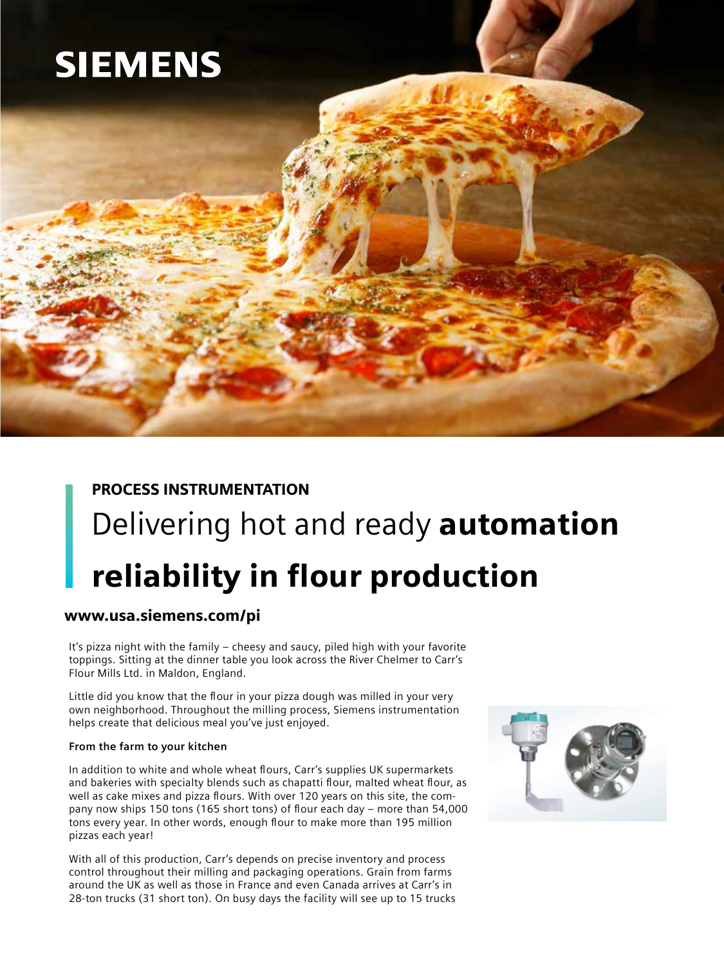# **SIEMENS**

## PROCESS INSTRUMENTATION Delivering hot and ready **automation** reliability in flour production

### www.usa.siemens.com/pi

It's pizza night with the family – cheesy and saucy, piled high with your favorite toppings. Sitting at the dinner table you look across the River Chelmer to Carr's Flour Mills Ltd. in Maldon, England.

Little did you know that the flour in your pizza dough was milled in your very own neighborhood. Throughout the milling process, Siemens instrumentation helps create that delicious meal you've just enjoyed.

#### **From the farm to your kitchen**

In addition to white and whole wheat flours, Carr's supplies UK supermarkets and bakeries with specialty blends such as chapatti flour, malted wheat flour, as well as cake mixes and pizza flours. With over 120 years on this site, the company now ships 150 tons (165 short tons) of flour each day – more than 54,000 tons every year. In other words, enough flour to make more than 195 million pizzas each year!

With all of this production, Carr's depends on precise inventory and process control throughout their milling and packaging operations. Grain from farms around the UK as well as those in France and even Canada arrives at Carr's in 28-ton trucks (31 short ton). On busy days the facility will see up to 15 trucks

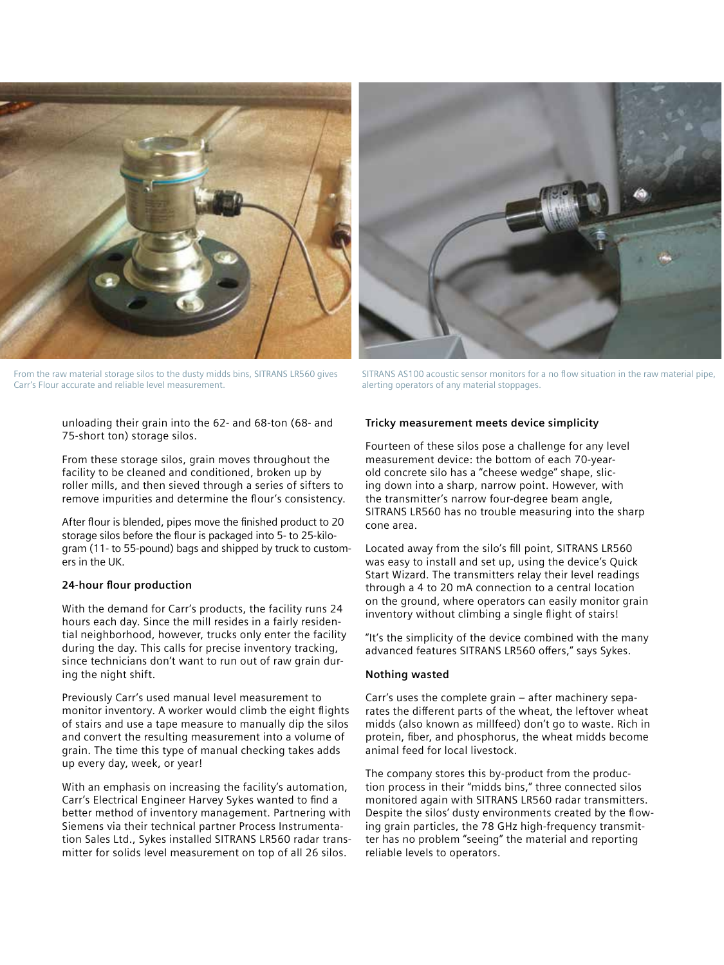

From the raw material storage silos to the dusty midds bins, SITRANS LR560 gives Carr's Flour accurate and reliable level measurement.



SITRANS AS100 acoustic sensor monitors for a no flow situation in the raw material pipe alerting operators of any material stoppages.

unloading their grain into the 62- and 68-ton (68- and 75-short ton) storage silos.

From these storage silos, grain moves throughout the facility to be cleaned and conditioned, broken up by roller mills, and then sieved through a series of sifters to remove impurities and determine the flour's consistency.

After flour is blended, pipes move the finished product to 20 storage silos before the flour is packaged into 5- to 25-kilogram (11- to 55-pound) bags and shipped by truck to customers in the UK.

#### **24-hour flour production**

With the demand for Carr's products, the facility runs 24 hours each day. Since the mill resides in a fairly residential neighborhood, however, trucks only enter the facility during the day. This calls for precise inventory tracking, since technicians don't want to run out of raw grain during the night shift.

Previously Carr's used manual level measurement to monitor inventory. A worker would climb the eight flights of stairs and use a tape measure to manually dip the silos and convert the resulting measurement into a volume of grain. The time this type of manual checking takes adds up every day, week, or year!

With an emphasis on increasing the facility's automation, Carr's Electrical Engineer Harvey Sykes wanted to find a better method of inventory management. Partnering with Siemens via their technical partner Process Instrumentation Sales Ltd., Sykes installed SITRANS LR560 radar transmitter for solids level measurement on top of all 26 silos.

#### **Tricky measurement meets device simplicity**

Fourteen of these silos pose a challenge for any level measurement device: the bottom of each 70-yearold concrete silo has a "cheese wedge" shape, slicing down into a sharp, narrow point. However, with the transmitter's narrow four-degree beam angle, SITRANS LR560 has no trouble measuring into the sharp cone area.

Located away from the silo's fill point, SITRANS LR560 was easy to install and set up, using the device's Quick Start Wizard. The transmitters relay their level readings through a 4 to 20 mA connection to a central location on the ground, where operators can easily monitor grain inventory without climbing a single flight of stairs!

"It's the simplicity of the device combined with the many advanced features SITRANS LR560 offers," says Sykes.

#### **Nothing wasted**

Carr's uses the complete grain – after machinery separates the different parts of the wheat, the leftover wheat midds (also known as millfeed) don't go to waste. Rich in protein, fiber, and phosphorus, the wheat midds become animal feed for local livestock.

The company stores this by-product from the production process in their "midds bins," three connected silos monitored again with SITRANS LR560 radar transmitters. Despite the silos' dusty environments created by the flowing grain particles, the 78 GHz high-frequency transmitter has no problem "seeing" the material and reporting reliable levels to operators.